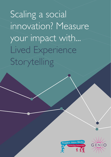Scaling a social innovation? Measure your impact with... Lived Experience Storytelling



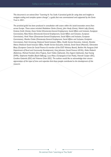*This document is an extract from "Learning As You Scale: A practical guide for using data and insights to navigate scaling and complex system change", a guide that was commissioned and supported by the Genio Trust in 2021.*

*The practical guide has been produced in consultation with actors within the social innovation arena from across Europe. These actors included Madeleine Clarke (Genio), John Healy (Genio), Niamh Lally (Genio), Grainne Smith (Genio), Dana Verbal (Directorate-General Employment, Social Affairs and Inclusion, European Commission), Risto Raivio (Directorate-General Employment, Social Affairs and Inclusion, European Commission), Henk Visser (Directorate-General Employment, Social Affairs and Inclusion, European Commission), Monika Chaba (Directorate-General Employment, Social Affairs and Inclusion, European Commission), Ruth Armstrong (National Social Inclusion Office, Health Service Executive, Ireland), Marieke Altena (National Social Inclusion Office, Health Service Executive, Ireland), David Stead (Maanch), Clémentine Blazy (European Centre for Social Finance & member of the ESCF Advisory Board), Bairbre Nic Aongusa (Irish Department of Rural and Community Development), Gary Johnston (Social Finance UK/NL), Maša Malovrh (Beletrina), Michael Fembek (Zero Project), Assiri Valdes (UpSocial), Ona Argemí (UpSocial), Anja Koenig (EVPA), Stephanie Haefele (Bosch-Stiftung), Luca Pilosu (Compagnia di San Paolo), Hannah Cooper (IDC), Carolina Gottardo (IDC) and Vivienne Chew (IDC). The authors would like to acknowledge their sincere appreciation of the input of time and expertise that these people contributed to the development of this resource.*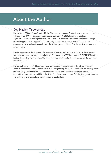# About the Author

### Dr. Hayley Trowbridge

Hayley is the CEO of [People's Voice Media](https://peoplesvoicemedia.co.uk/). She is an experienced Project Manager and oversees the delivery of our UK and European research and innovation (H2020, Erasmus+, REC) and organisational/service development projects. In this role, she uses Community Reporting and digital storytelling practices to support individuals and groups to have a voice on the issues that are pertinent to them and equips people with the skills to use narratives of lived experiences to create social change.

Hayley supports the development of the organisation's strategic and methodological development within the arena of 'bottom-up' social change. She is currently WP Lead on the CoSIE H2020 project leading the work on 'citizen insight' to support the co-creation of public service across 10 European countries.

Hayley is also a trained facilitator and has over a decade of experience of using digital tools and creative methods in community and informal learning settings to enhance people's lives, develop skills and capacity (at both individual and organisational levels), and to address social and cultural inequalities. Hayley also has a PhD in the field of media convergence and film distribution, awarded by the University of Liverpool and has a number of publications.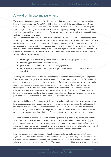### A word on impact measurement

The amount of impact measurement tools is vast, and their variety and concrete application have been well documented (see Avise, 2021; GECES Sub-group, 2014; European Commission & the OECD, 2015; Tuan, 2008). You may be aware of many others and you could choose to integrate those into your Learning As You Scale plan. Rather than repeating existing resources, we provide these three accessible tools and a number of strategic considerations that will help you decide which tools to use to measure impact.

It is well established that economic value creation may play a pronounced role in social innovations, which may therefore represent a substantial share of relevant key performance indicators (KPIs). Any activities that help prevent public transfers, such as work integration efforts, might be well covered and analysed with classic cost-benefit analyses that focus on how much the state has saved by the innovator succeeding to provide unemployed people with a job. However, as detailed in Section 1, it is essential to understand that a large share of social innovations will focus on the creation of other types of value or impact such as:

- **social** (questions about interpersonal relations and networks, people's lives etc.)
- **cultural** (questions about norms and values)
- **political** (questions about participation and engagement)
- **environmental** (questions about preserving our environment and limiting environmental degradation)

Assessing such effects demands a much higher degree of creativity and methodological complexity. There are a range of ways that this can be achieved. Social return on investment (SROI) methods is one approach that enables people to assess the value of their social innovations that are not usually assessed via traditional financial value measurement tools. However, this is not the only way of assessing the social, cultural and political value of social innovations and, as Section 4 explores, different decision-makers, gatekeepers and stakeholders can be influenced by different methods. Some will prefer more traditional data or quantitative evidence, whereas others are inclined to be persuaded by individual stories and data with richer qualitative details.

Since the Nobel Prize in Economics of 2019, experimental methods that make use of randomisation have been prominent. Such randomized controlled trials are perhaps viewed as the 'gold standard' for evidence and thus social innovators may assume that such methods should be what they use when measuring impact. However, it is important to note that while experimental methods, which are very resource-intensive, have their benefits in certain areas, they also have serious limitations.

Randomisation has its benefits when interventions represent 'easy fixes' to a problem, for example when a vaccination may prevent a disease. In such a case, the desired outcome or impact (higher immunization) equals or is close to the outputs produced (number of vaccinations performed). In instances like this, you can easily check the incidence of the disease in groups of people who received the vaccine versus groups that did not receive it in order to assess its effectiveness.

However, experimental methods are limited, if not unsuitable, for understanding multifaceted, organizational activities that seek to produce multifactorial changes. For many social innovations we will need detailed accounts of whether interventions enable new social relations, empowerment, or self-worth, or a combination of those effects. This requires contextual knowledge, from multiple data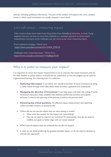sources, including qualitative information. This part of the toolbox will explore this more complex arenas in which social innovations are usually situated in more detail.

### Let's talk about… measuring impact

Take a look at these short videos from Gorgi Krlev from Heidelberg University. In them, Gorgi explores how you can how to move from methods to a strategic approach to social impact measurement, and some of the challenges you can come across when measuring impact.

From method to strategy - Watch here: [https://www.youtube.com/watch?v=jHD4\\_Z781r0](https://www.youtube.com/watch?v=jHD4_Z781r0%20) 

Challenges when measuring impact - Watch here: <https://www.youtube.com/watch?v=boJ8zgn3nOk>

### Why is it useful to measure your impact?

It is important to stress that impact measurement is not an exercise that social innovators only do for their funders or policy makers. It should also be undertaken so that the insights can be used for organisational learning. As a learning tool, it is useful for:

- 1. **Gathering information:** It can inform the 'standard activities' of social innovators by being a useful means through which data about these activities is gathered and understood.
- 2. **Navigating the direction of innovations:** It can help assess and steer the scaling of social innovations because it helps establish links between performed activities and impacts achieved. It informs the planning of the process as well as the process itself.
- 3. **Answering key critical questions:** An effective impact measurement and reporting system provides answers to questions like:
- Where did we not see the impact that we were aiming to create?
	- What were the reasons for the impact not materializing?
	- How do we need to improve our activities? Or alternatively, how do we need to redefine our goals to better align with our actual impacts?
- What kinds of impacts have we achieved that we did not expect?
- Is what we are doing producing the greatest possible impact, or do we need to develop an entirely new approach?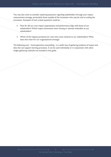You may also want to consider exploring questions regarding stakeholders through your impact measurement strategy, particularly those outside of the innovation who may be vital to scaling the innovation. Examples of such critical questions could be:

- How far did our own impact expectations and performance align with those of our stakeholders? Which impact dimensions were missing or seemed redundant to our stakeholders?
- Which of the impacts produced (or not) were most material to our stakeholders? What does that mean for our organizational strategy?

The following tool – lived experience storytelling - is a useful way of gathering evidence of impact and data that can support learning processes. It can be used individually or in conjunction with other insight gathering methods not included in this guide.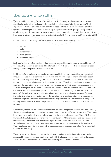### Lived experience storytelling

There are different types of knowledge such as practical know-how, theoretical expertise and experiential understandings. Experiential knowledge – what we are referring to here as 'lived experience' – focuses on what we can learn from people's lives and their experiences of different situations. Lived experience supports people's participation in research, policy-making, service development, and decision-making processes and recent research has acknowledged the validity of lived experience and knowledge-based practice in these fields (see Durose et al, 2013; Glasby, 2011).

Conventional tools for using lived experience in social innovations include:

- surveys
- polls
- questionnaires
- focus groups
- comment cards

Such approaches are often used to gather feedback on social innovations and are valuable ways of understanding people's experiences. The information from these approaches can support process tracing and other impact measurement activities.

In this part of the toolbox, we are going to focus specifically on how storytelling can help social innovators to use lived experience in both formal and informal ways to inform and assess social innovations as they scale. Through this, we will explore how the end beneficiaries of the social innovation can be actively involved in the learning process. We will examine how the people at the centre of the innovation - the beneficiaries - can have agency within the scaling process and the decision-making around the social innovation. This approach and the activities outlined in this section can be situated within the wider sphere of co-production - or what may be referred to as 'cocreation'. As such, what we are delving into here is fundamental to changing systems. Through increasing the voice, agency and power of the beneficiaries of the innovation, we are seeking to actively disrupt the status quo of how services and organisations are traditionally run. For people working within these structures, the process and shift can be difficult, and this can manifest itself in resistance.

Despite this, stories can be powerful vehicles through which people can connect with one another, share understandings and build bridges between communities and different perspectives. They have a long history as a tool for learning, dialogue and creating change (Copeland and Moor, 2018) and as Durose et al (2013) argues, allows for the representation of "different voices and experiences in an accessible way". However, as Chimamanda Ngozi Adichie (2009) discusses in her TED talk, storytelling can lead to dominant narratives - or as Adichie puts it, the danger of the single story. These single stories or dominant narratives can create stereotypes and thus allow "one story [to] become the only story".

The activities within this section will explore how this and other ethical considerations can be addressed by social innovators wanting to work with lived experience in meaningful, inclusive and equitable ways. The activities will outline how lived experience can be used to: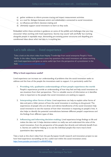- a) gather evidence to inform process tracing and impact measurement activities
- b) as a tool for dialogue between actors and stakeholders connected to social innovations
- c) to influence and inform decision-making and
- d) ultimately support social innovators to learn as they scale.

Embedded within these activities is guidance on some of the pitfalls and challenges that you may encounter when working with lived experience. Stories may sound 'soft and fluffy' but working alongside people in equitable ways, dismantling pre-existing power structures and dispelling preconditioned ideas about what real data is, is anything but.

### Let's talk about… lived experience

Take a look at this short video from Hayley Trowbridge from social enterprise People's Voice Media. In the video, Hayley answers some key questions that social innovators ask about working with lived experience and gives us some useful tips from the perspective of a practitioner in the field. <https://youtu.be/nXMDEBho43Y>

#### **Why is lived experience useful?**

Lived experience can increase our understanding of problems that the social innovation seeks to address and the lives of the people the innovations seek to support. It is particularly useful for:

- 1. **Providing rich, qualitative understandings of how people experience the world:** People's experiences provide an understanding of how they feel and help social innovators to see situations from their perspectives. This is a valuable source of information as it identifies what is important to the people that social innovations are seeking to support.
- 2. **Interpreting other forms of data:** Lived experience can help to explain other forms of data and paint a fuller picture of how the social innovation is working on-the-ground. The experiences of people who are direct and indirect beneficiaries of the social innovation help social innovators to see the nuances of how their innovation is impacting on people's lives. It also helps to identify the potential contradictions between different people's experiences and the findings from different types of data.
- 3. **Influencing and informing decision-making:** Lived experience brings findings to life and makes the data real. It helps decision-makers to really see and understand the value of the social innovation, from the perspective of the people that directly and indirectly benefit from it. Stories are useful for helping us to see the individual people that more macro-level quantitative data represents.

Take a look at this short video from the pan-European InnoSI research and innovation project to see how lived experience storytelling can be a useful tool within the social innovation arena: *<https://www.youtube.com/watch?v=wMHiKPS40cg>*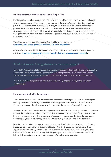#### **Find out more: Co-production as a value-led practice**

Lived experience is a fundamental part of co-production. Without the active involvement of people who access services and innovations, you cannot really claim to be 'co-producing'. But what is coproduction? Co-production is probably best thought about as a value-led practice rather than a process. What this means is that co-production is not a set of activities to be delivered in an structured sequence, but instead is a way of working, being and doing things that is governed and underpinned by a fundamental commitment to co-produce with those for whom the innovation is intended to benefit.

To delve a bit further into this, you may find this blog post interesting: <https://cosie.turkuamk.fi/general/co-creation-as-a-value-led-practice/>

or look at the work of the Co-Production Collective to see how their core values underpin their activities: [https://www.coproductioncollective.co.uk/what-is-co-production/our-approach.](https://www.coproductioncollective.co.uk/what-is-co-production/our-approach)

### Find out more: Using stories to measure impact

Since 2017, Arts at the Old Fire Station has been using the storytelling methodology to evaluate the impact of its work. Based on their experiences, they have produced a guide with useful tips and techniques about how stories can be used to demonstrate the outcomes of social innovations.

You can download the guide here: [https://oldfirestation.org.uk/project/storytelling-evaluation](https://oldfirestation.org.uk/project/storytelling-evaluation-methodology/)[methodology/](https://oldfirestation.org.uk/project/storytelling-evaluation-methodology/)

#### **How to… work with lived experience**

There are many ways that social innovators can incorporate lived experience into their scaling and learning processes. The activity outlined below and supporting resources will help you to think through how you can do this in a way that is relevant to the context of the social innovation.

Activity 1 is core to this application, as it supports social innovators to develop a responsible practice for how they will work with lived experience. This activity can also be helpful for you to work out how to involve people with lived experience of the social innovation, or the issue the innovation is addressing, in your overall learning process and Community of Practice detailed in Section 2.

Activities 2 - 5 are different ways you may choose to work with lived experience and can be used independently of each other, or in any combination. Activity 2 focuses on how to gather lived experience stories. Activity 3 focuses on how to analyse lived experience stories in a systematic manner. Activity 4 focuses on creating a learning dialogue around lived experience stories that can help with determining changes to implementation of a scaling social innovation.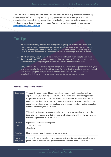These activities are largely based on People's Voice Media's Community Reporting methodology. Originating in 2007, Community Reporting has been developed across Europe as a mixed methodological approach for enhancing citizen participation in research, policy-making, service development, and decision-making processes. You can find out more about this approach at [https://peoplesvoicemedia.co.uk](https://peoplesvoicemedia.co.uk/)

### Top Tips

- 1. **Be clear about why, where and how you are going to use lived experience:** Having clarity around the purpose for incorporating lived experience into your learning strategy will help you to know how to use this type of knowledge. This will help you to avoid using lived experience in a tokenistic way and it becoming a 'tick box' exercise.
- 2. **Think carefully about the ethics of how you will work with people and their lived experience:** We would recommend thinking about the 'values' that will underpin this work that helps to guide your decision-making and approach in this arena.
- 3. **Stay curious:** Be open to learning from people's experience and be prepared to have your own understanding (or the findings from other forms of data) to be challenged. Understand that different people's perspectives can be contradictory - it is these nuances and complexities that make lived experience rich material for learning processes.

| Description            | This activity helps you to think through how you can involve people with lived<br>experience in your learning process /or seek their input into the scaling process.<br>Responsible practice asks us to think about the ethics and values of when we ask<br>people to contribute their lived experience to a process, the content of those lived<br>experience stories and how we can keep everyone safe (physically and emotionally)<br>when doing these types of activities.<br>Whilst this activity can be undertaken by a group of professionals working in the<br>innovation, we recommend that you also involve in people with lived experience so<br>that the outputs from it are co-produced. |
|------------------------|-------------------------------------------------------------------------------------------------------------------------------------------------------------------------------------------------------------------------------------------------------------------------------------------------------------------------------------------------------------------------------------------------------------------------------------------------------------------------------------------------------------------------------------------------------------------------------------------------------------------------------------------------------------------------------------------------------|
| Resource<br>Level      | Experience: Intermediate/Beginner<br>Time: 2 - 3 hours<br>Cost: Low                                                                                                                                                                                                                                                                                                                                                                                                                                                                                                                                                                                                                                   |
| <b>Materials</b>       | Flipchart paper, post-it notes, marker pens, pens                                                                                                                                                                                                                                                                                                                                                                                                                                                                                                                                                                                                                                                     |
| Step-by-<br>step guide | Step 1: Bring a group of people connected to the social innovation together for a<br>participatory workshop. This group should really involve people with lived                                                                                                                                                                                                                                                                                                                                                                                                                                                                                                                                       |

#### **Activity 1: Responsible practice**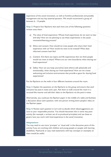experience of the social innovation, as well as frontline professionals and possibly management and any key external partners. We would recommend a group of between 6 - 12 people.

**Step 2:** Prepare four flipcharts that each have one of the following questions written onto them:

- a) The value of lived experience: Whose lived experiences do we want to hear and why? How are we planning to use these experiences in the social innovation/learning process?
- b) Ethics and consent: How should we treat people who share their lived experience with us? How would we want to be treated? What does informed consent look like?
- c) Content: Are there any topics and life experiences that we think people would not want to share? Where are our own boundaries when sharing our lived experience?
- d) Safety: How can you keep yourselves (and others) safe (physically and emotionally), when sharing our lived experience? How can we create welcoming and inclusive environments that provide a space for sharing lived experiences?

Put the flipcharts on the walls in four different locations around the room.

**Step 3:** Explain the questions on the flipcharts to the group and ensure that each everyone has post-it notes and a pen. Ask them to walk around the room in a carousel-like manner and add their ideas to the flipcharts via the post-it notes.

Alternatively, you could put the flipchart paper in the middle of a table and facilitate a discussion about each question, with one person writing down people's ideas on the flipchart paper.

**Step 4:** Review each question in turn and co-decide which ideas/suggestions are core to your responsible practice. You should document this in some way postactivity (for example, a written set of co-produced principles) and use these to govern how you work with lived experience in the social innovation.

#### **Adaptations:**

You may need to use more 'prompts' or 'visual aids' in the discussion parts of this activity if you are working with children and young people or people with learning disabilities. Flashcards or easy read statements with key concepts or examples on them would be useful.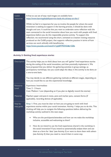#### Useful resources A free to use set of easy read images are available here: <https://www.learningdisabilityservice-leeds.nhs.uk/easy-on-the-i/>

Whilst we feel it is important for you to involve the people for whom the social innovation is seeking to support in the learning process, it should be done with thought and care. It could be that you want to undertake some reflection with the team connected to the social innovation about how you work with people with lived experience before you do this responsible practice activity. To support this reflection, we recommend using this short, animated co-creation training resource produced on the CoSIE project, that supports reflective practice in terms of how services can work ethically with beneficiaries: <https://www.youtube.com/watch?v=yqk0F7PZHGI&t=320s>

#### **Activity 2: Getting lived experience stories**

| Description            | This activity helps you to think about how you will 'gather' lived experience stories<br>during the scaling of the social innovation, and then practically implement it. We<br>have proposed that you deliver the gathering activities in group settings, as<br>participatory workshops, but you could adapt the ideas in this activity to be done on<br>a one-to-one basis.<br>You may decide to use different gathering methods at different stages, depending on<br>how you would like to use this experiential knowledge. |  |  |
|------------------------|-------------------------------------------------------------------------------------------------------------------------------------------------------------------------------------------------------------------------------------------------------------------------------------------------------------------------------------------------------------------------------------------------------------------------------------------------------------------------------------------------------------------------------|--|--|
| Resource<br>Level      | Experience: Intermediate<br>Time: 2 - 3 hours<br>Cost: Medium / Low (depending on if you plan to digitally record the stories)                                                                                                                                                                                                                                                                                                                                                                                                |  |  |
| <b>Materials</b>       | Flipchart paper and post-it notes, pens and marker pens, consent forms (if<br>applicable), recording devices (if applicable).                                                                                                                                                                                                                                                                                                                                                                                                 |  |  |
| Step-by-<br>step guide | Step 1: First, you must be clear on how you are going to work with lived<br>experience stories within your social innovation. Activity I helps you to do this. This<br>thinking will help you to navigate the following questions before delivering the<br>workshop activity outlined in the next steps:<br>Who are the participants/attendees and how can we make the workshop<br>inclusive, accessible and welcoming to them?<br>How do we intend to use the lived experiences shared in the workshop in<br>$\bullet$       |  |  |
|                        | the social innovation? If you intend to systematically analyse them and use<br>them as a form for 'data' (see Activity 3) or want to share them with others<br>(see Activity 4) then you need to record them in some way.                                                                                                                                                                                                                                                                                                     |  |  |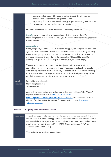Logistics: What venue will we use to deliver the activity in? Have we prepared our resources and equipment? What expenses/payment/reimbursement/thank you gifts have we agreed? Who has the necessary skills to facilitate the workshop?

Use these answers to set-up the workshop and recruit participants.

**Step 2:** Use the Storytelling workshop plan to deliver the workshop. The Storytelling techniques resource will help you determine which storytelling approach is most suitable.

#### **Adaptation:**

Some groups may find this approach to storytelling (i.e., removing the structure and agenda) a bit more difficult than others. Therefore, we recommend using the Story mindmap resource to help people to think through the experience they want to share and to act as a prompt during the storytelling. This could be useful for working with groups for whom cognition and focus might be challenging.

You may want to adapt the prompting questions to suit the context of the storytelling, but we would recommend keeping the categories listed. For people with learning disabilities, the facilitator may be best to make notes on the mindmap for the person who is sharing their experience, or alternatively ask them to draw out their answers and explain what they are drawing to you.

Useful resources Storytelling workshop plan Storytelling techniques Story mindmap

Alternatively, you may find storytelling approaches outlined in the "Our Voices" Digital Curator toolkit useful: [http://our-voices.eu/wp](http://our-voices.eu/wp-content/uploads/2018/07/DigitalCuratorToolkitFinal.pdf)[content/uploads/2018/07/DigitalCuratorToolkitFinal.pdf](http://our-voices.eu/wp-content/uploads/2018/07/DigitalCuratorToolkitFinal.pdf) Translated resources in German, Swedish, Italian, Spanish and Polish can be found here: [http://our](http://our-voices.eu/resources/)[voices.eu/resources/](http://our-voices.eu/resources/)

#### **Activity 3: Analysing lived experience stories**

Description This activity helps you to work with lived experience stories as a form of data and analyse them with a methodology rooted in traditional notions of discourse analysis and grounded theory. If you would like to find out more about these methods, take a look at the work of Brown and Yule (1983), Glaser and Strauss (1967) and Tummers and Karsten (2012).

The methodology is split into two phases: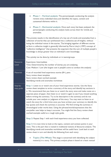|                        | Phase I - Vertical analysis: The person/people conducting the analysis<br>reviews every individual story and identifies the topics, content and<br>contextual elements within it.<br>Phase 2 - Horizontal analysis: Once each story has been analysed, the<br>person/people conducting the analysis looks across them for trends and<br>anomalies.                                                                                                                                                                                                                                                                                                                                                                                                                                                                                                                                                                 |
|------------------------|--------------------------------------------------------------------------------------------------------------------------------------------------------------------------------------------------------------------------------------------------------------------------------------------------------------------------------------------------------------------------------------------------------------------------------------------------------------------------------------------------------------------------------------------------------------------------------------------------------------------------------------------------------------------------------------------------------------------------------------------------------------------------------------------------------------------------------------------------------------------------------------------------------------------|
|                        | This process results in the identification of a key set of trends and anomalies from a                                                                                                                                                                                                                                                                                                                                                                                                                                                                                                                                                                                                                                                                                                                                                                                                                             |
|                        | collection of stories that can synthesised into a collective set of insights, without<br>losing the individual voices in the stories. The bringing together of different stories<br>to form a collective insight is generally informed by Pierre Lévy's (1997) concept of<br>"collective intelligence" that presents the argument that the sum of multiple people's<br>knowledge is always greater than an individual's own knowledge.                                                                                                                                                                                                                                                                                                                                                                                                                                                                             |
|                        | This activity can be done by individuals or in teams/groups.                                                                                                                                                                                                                                                                                                                                                                                                                                                                                                                                                                                                                                                                                                                                                                                                                                                       |
| Resource<br>Level      | Experience: Intermediate<br>Time: Determined by the number of stories you are analysing<br>Cost: Medium / Low (the largest cost is people's time to conduct the analysis)                                                                                                                                                                                                                                                                                                                                                                                                                                                                                                                                                                                                                                                                                                                                          |
| <b>Materials</b>       | A set of recorded lived experience stories (8+), pens<br>Story review sheet template<br>Story review sheet worked example<br>Identifying trends and anomalies worksheet                                                                                                                                                                                                                                                                                                                                                                                                                                                                                                                                                                                                                                                                                                                                            |
| Step-by-<br>step guide | Step I: Listen to or watch one of your lived experience stories. Use the Story<br>review sheet template to write a summary of the story and identify key sections in<br>it. We recommend that you listen to or watch the story once and make notes on a<br>separate piece of paper, then listen to or watch it again to see if you missed anything<br>before writing the summary. Try to be descriptive in the summary and do not<br>include your own analysis or judgment of the story. You may want to listen to or<br>watch the story for a third time once you have written your summary to identify the<br>key quotes and check the summary is accurate. We find writing the summary in<br>chronological order works best. Using the phrases/words/expressions that the<br>storyteller uses helps to keep it accurate. You might find the Story review sheet<br>worked example useful as a rough style guide. |
|                        | Step 2: Repeat Step I with each lived experience story you have collected.                                                                                                                                                                                                                                                                                                                                                                                                                                                                                                                                                                                                                                                                                                                                                                                                                                         |
|                        | Step 3: It is now time to look at the topics, content and context points in your<br>story. This is the part that is rooted in traditional notions of discourse analysis. The<br>Identifying trends and anomalies worksheet will be useful here. Look back at each<br>review sheet in turn and identify the following from each story:                                                                                                                                                                                                                                                                                                                                                                                                                                                                                                                                                                              |
|                        | Topics (The What): This stage is concerned with identifying the subject<br>matter(s) in a story. This primary analysis phase is based on a basic textual                                                                                                                                                                                                                                                                                                                                                                                                                                                                                                                                                                                                                                                                                                                                                           |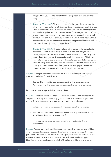analysis. Here you need to identify WHAT the person talks about in their story.

- **Content (The How):** This stage is concerned with outlining the way in which the subject matters are being described. This secondary analysis phase - the compositional level - is focused on explaining how the subject matters identified are spoken about to create meaning. This asks you to think about key emotions expressed, tone of voice, expressions on people's faces, and the relationships between the subject matters. It uses a more interpretative approach to situate the subject matters within the perspective they were told through looking at them in more detail.
- **Context (The Why):** This stage of analysis is concerned with explaining the wider context in which story is being told. This final analysis phase relates the trends to the wider circumstances that surround the story and places them within the environments in which they were told. This is the most interpretative level and some of this contextual knowledge may come from the story itself, but some of it you may know via other means. In your notes you should be clear which contextual knowledge you have taken directly from the story and which you know via other means.

**Step 4:** When you have done the above for each individual story, read through your notes and identify the following:

- Trends: The similarities you notice across the different experiences.
- Anomalies: The differences you notice across the various experiences.

List these in the space provided on the worksheet.

**Step 5:** Look at the trends and anomalies you have identified and think about the 'insights' or 'learning' that are emerging from it - this part is rooted in grounded theory. To help you do this, you may want to consider the following:

- What do we learn about the social innovation from the experiences?
- What do we learn about the lives of people that may be relevant to the social innovation from the experiences?
- How may we explain/understand the difference and similarities in experiences?

**Step 6:** You are now ready to think about how you will use this learning within or outside the social innovation. Section 4 contains more concrete ideas about how you can do this based on the people you are trying to connect the learning to. For example, some short extracts from the stories with some key learning points identified could win the hearts and minds of frontline practitioners, whereas an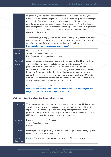|                                                           |                       | insight briefing with concrete recommendations could be useful for strategic<br>management. Whichever way you choose to share the learning, we recommend you<br>use as much of the people's words and voice as possible. Although it may be<br>tempting to translate what people have said into 'system speak', we find that this<br>loses the impact of people's experiences. Instead, try to use people's own phrasings<br>as much as possible and subtly connect them to relevant concepts, policies or<br>initiatives in the system.                                                                                                                   |
|-----------------------------------------------------------|-----------------------|------------------------------------------------------------------------------------------------------------------------------------------------------------------------------------------------------------------------------------------------------------------------------------------------------------------------------------------------------------------------------------------------------------------------------------------------------------------------------------------------------------------------------------------------------------------------------------------------------------------------------------------------------------|
|                                                           |                       | This methodology is largely based on the Community Reporting approach to story<br>curation. You may find this short animation that explains more about this way of<br>analysing stories useful to watch before you begin your analysis:<br>https://peoplesvoicemedia.co.uk/approach/curating/                                                                                                                                                                                                                                                                                                                                                              |
| <b>Useful</b><br>Story review sheet template<br>resources |                       | Story review sheet worked example<br>Identifying trends and anomalies worksheet                                                                                                                                                                                                                                                                                                                                                                                                                                                                                                                                                                            |
|                                                           | Case study<br>example | An evaluation into the impact of creative activities on mental health and wellbeing<br>was funded by The Health Foundation and delivered by Creative Minds in<br>partnership with the University of Huddersfield and People's Voice Media. The<br>evaluation saw over 40 participants and staff being trained to become Community<br>Reporters. They used digital tools including film and audio to capture authentic<br>stories about their own lived mental health experience. In total, over 100 stories<br>were gathered and these were analysed via a similar methodology outlined in this<br>activity and were used to produce an evaluation report. |
|                                                           |                       | Read more about this project here:<br>https://www.southwestyorkshire.nhs.uk/creative-minds-news/evaluating-soft-and-<br>fluffy-creative-activities-delivered-by-creative-minds/                                                                                                                                                                                                                                                                                                                                                                                                                                                                            |

### **Activity 4: Creating a learning dialogue from stories**

| Description            | This short activity uses 'story dialogue' and is designed to be embedded into larger<br>workshops and events, team meetings, focus groups. It's a way of working with lived<br>experience in a practical way as part of learning, development and reflection<br>processes. This approach has been adapted from the work of Labonte and Feather<br>(1996) and is designed to promote empathy and connection. |
|------------------------|-------------------------------------------------------------------------------------------------------------------------------------------------------------------------------------------------------------------------------------------------------------------------------------------------------------------------------------------------------------------------------------------------------------|
| Resource<br>Level      | Experience: Intermediate / Beginner<br>Time: 30 minutes - I hour<br>Cost: Low                                                                                                                                                                                                                                                                                                                               |
| <b>Materials</b>       | Lived experience story/stories (recorded as a photograph, audio or video), flipchart<br>paper, post-it notes, marker pens, pens                                                                                                                                                                                                                                                                             |
| Step-by-<br>step guide | Step 1: Explain what story dialogue is to the group. The text below will help:                                                                                                                                                                                                                                                                                                                              |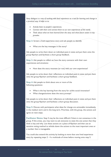*Story dialogue is a way of working with lived experience as a tool for learning and change in a practical way. It helps us to:*

- *Actively listen to people's experiences.*
- *Connect with them and connect them to our own experiences of the world.*
- *Think about what we have learned from the story and what future action it may provoke.*

**Step 2:** Screen a lived experience story and ask people to identify:

What are the key messages in the story?

Ask people to write them down on individual post-it notes and put them onto the group flipchart and facilitate a short group feedback.

**Step 3:** Ask people to reflect on how the story connects with their own experiences and emotions:

How does the story resonate (or not) with our own experiences?

Ask people to write down their reflections on individual post-it notes and put them onto the group flipchart and facilitate a short group feedback.

**Step 4:** Ask people to think about one or more of the following questions:

- What is the key learning from the story for us/the social innovation?
- What changes/actions does the story prompt?

Ask people to write down their reflections on individual post-it notes and put them onto the group flipchart and facilitate a short group discussion.

**Step 5:** Discuss with participants what ideas for change are actionable immediately, in the medium term and in the long term. Prioritise, with the group, the actions and agree on next steps.

**Facilitator Notes:** Step 5 may be the most difficult if there is not consensus in the group. If this arises, you may want to ask everyone to state the one action that they think is key and why. List these actions on a piece of flipchart and then use an iterative voting method to whittle down the actions to the most important ones or a number that is manageable.

You could also extend this activity by looking at more than one lived experience story by repeating steps 2 - 4 a multitude of times before moving onto step 5.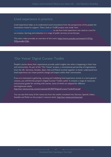### Lived experience in practice:

Lived experience helps us to understand social innovations from the perspectives of the people the innovations intend to support. Take a look at 'CoSIE project case study' here <https://cosie.turkuamk.fi/community-reporting/> to see how lived experience was used as a tool for co-creation, learning and evaluation in a range of public services across Europe.

This short video provides an overview of this work: [https://www.youtube.com/watch?v=2YGg-](https://www.youtube.com/watch?v=2YGg-OZpuww&t=226s)[OZpuww&t=226s](https://www.youtube.com/watch?v=2YGg-OZpuww&t=226s)

### 'Our Voices' Digiral Curator Toolkit

People's stories about their experiences provide useful insights into what is happening in their lives and communities. As part of the "Our Voices" project, a transnational partnership of organisations from the UK, Germany, Sweden, Spain, Italy and Poland worked together to better understand how lived experience can create positive change and impact within their communities.

If you are interested in gathering, curating and mobilising lived experience stories in a more general context, you will find the project's Digital Curator Toolkit useful. It contains a range of resources and practical guides for working with stories, some of which are adapted for different learning/access needs:

<http://our-voices.eu/wp-content/uploads/2018/07/DigitalCuratorToolkitFinal.pdf>

You can also find many of the resources from the toolkit translated into German, Spanish, Italian, Swedish and Polish on the project's resource bank: <http://our-voices.eu/resources/>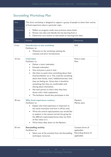## Storytelling Workshop Plan

| Aim:            | This short workshop is designed to support a group of people to share their stories<br>of lived experience about a particular topic.                                                                                                                                                                                                                                                                                                                                                                                                                                      |                                                                          |  |
|-----------------|---------------------------------------------------------------------------------------------------------------------------------------------------------------------------------------------------------------------------------------------------------------------------------------------------------------------------------------------------------------------------------------------------------------------------------------------------------------------------------------------------------------------------------------------------------------------------|--------------------------------------------------------------------------|--|
| Objectives:     | Reflect on progress made since previous sense-check.<br>Ι.<br>Review new data and identify the key learning from it.<br>2.<br>Determine core actions to take based on learning from data.<br>3.                                                                                                                                                                                                                                                                                                                                                                           |                                                                          |  |
| <b>Time</b>     | Activity                                                                                                                                                                                                                                                                                                                                                                                                                                                                                                                                                                  | <b>Resources</b>                                                         |  |
| $0 \text{ min}$ | <b>Introduction to the workshop</b><br>Facilitator to:<br>Welcome to the workshop (setting the<br>context) and short introductions.                                                                                                                                                                                                                                                                                                                                                                                                                                       | N/A                                                                      |  |
| 10 min          | <b>Icebreaker</b><br>Facilitator to:<br>Deliver a short icebreaker.<br>Example icebreaker:<br>$\bullet$<br>Give everyone a post-it note<br>$\bullet$<br>Ask them to quick draw something about their<br>lives/world/them on it. This could be something<br>about their family, work, hobbies/interests, how<br>they are feeling etc. Stress that it should be<br>something that they are comfortable with<br>sharing about themselves.<br>Ask each person to share what they have<br>drawn with a little explanation.<br>The facilitator should also participate in this. | Post-it notes<br>Pens                                                    |  |
| 30 min          | <b>Why lived experience matters</b><br>Facilitator to:<br>Explain why lived experience is important to<br>the social innovation and how it will be used.<br>Write the central topic/question you would like<br>to explore in the session and ask the group for<br>the different topics/experiences they can think<br>of that relate to it.<br>Write these ideas down on the flipchart.                                                                                                                                                                                    | Flipchart<br>Marker pens                                                 |  |
| 50 min          | <b>Storytelling activity</b><br>Facilitator to:<br>Select one of the activities from the Storytelling<br>techniques resources.                                                                                                                                                                                                                                                                                                                                                                                                                                            | Consent forms (if<br>applicable)<br>Recording devices (if<br>applicable) |  |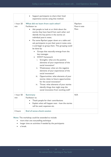|                  | Support participants to share their lived<br>experience stories using that method.                                                                                                                                                                                                                                                                                                                                                                                                                                                                                                                                                                                                                                                                                                                                                                                                                                                                  |                                   |
|------------------|-----------------------------------------------------------------------------------------------------------------------------------------------------------------------------------------------------------------------------------------------------------------------------------------------------------------------------------------------------------------------------------------------------------------------------------------------------------------------------------------------------------------------------------------------------------------------------------------------------------------------------------------------------------------------------------------------------------------------------------------------------------------------------------------------------------------------------------------------------------------------------------------------------------------------------------------------------|-----------------------------------|
| I hour 20<br>min | What did we learn from each other?<br>Facilitator to:<br>Ask people to look at or think about the<br>stories they have heard from each other and<br>identify the key points in the stories on<br>individual post-it notes.<br>Put some flipchart paper down on a table and<br>ask participants to put their post-it notes onto<br>it and begin to group them. This grouping could<br>be done by:<br>Groups that naturally emerge from the<br>key messages<br><b>SWOT</b> framework<br>Strengths: what are the positive<br>i.<br>elements of your experiences of the<br>social innovation?<br>ii. Weaknesses: what are the negative<br>elements of your experiences of the<br>social innovation?<br>Opportunities: what elements of your<br>iii.<br>stories relate to future opportunities<br>for the social innovation?<br>iv. Threat: what elements of your stories<br>identify things that might stop the<br>social innovation from working well? | Flipchart<br>Post-it note<br>Pens |
| 1 hour 50<br>min | <b>Summary</b><br>Facilitator to:<br>Thank people for their contributions<br>$\bullet$<br>Explain what will happen next - how the stories<br>$\bullet$<br>will be used, expenses etc.                                                                                                                                                                                                                                                                                                                                                                                                                                                                                                                                                                                                                                                                                                                                                               | N/A                               |
| 2 hours          | <b>End of sense-check session</b>                                                                                                                                                                                                                                                                                                                                                                                                                                                                                                                                                                                                                                                                                                                                                                                                                                                                                                                   |                                   |

**Note:** The workshop could be extended to include:

- more than one storytelling technique
- longer time on activities if needed by the participants
- a break.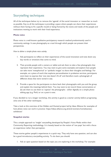### Storytelling techniques

All of the techniques below try to remove the 'agenda' of the social innovator or researcher as much as possible. Key to all the techniques is providing a space where people can share their experiences without them having to fit a specific mould or being framed by the wants and needs of the people and institutions wanting to work with their lived experience.

#### **Photo voice**

Photo voice is a well-known qualitative participatory research method predominantly used in community settings. It uses photography as a tool through which people can present their perspectives.

*How to deliver a simple photo voice activity*

- 1. Ask participants to reflect on their experiences of the social innovation and note down any key words or emotions that come to mind.
- 2. Then provide people with a camera or tablet and ask them to take a few photographs that represent their experience. You may want to give some examples and explore how people can take more 'metaphorical' or 'symbolic images' to share their thoughts and feelings. For example, on a piece of work that explores personalisation in probation services, participants were keen to express that 'one size doesn't fit all' and therefore took a photograph of different shoes that were varied in size.
- 3. Provide a space for the participants to share back their photographs with you and the group and explain the meanings behind them. You may want to (a) record these conversations or (b) ask them to use them to 'caption' the photographs - either digitally on a simple photo editing app (e.g. Pixlr) or on a post-it note.

If you decided to run a longer workshop, this activity is good as a starter activity before progressing onto one of the other techniques.

Take a look at this overview of the Hidden and Hunted project led by Ideas Alliance for examples of how photo voice can work in practice: https://ideas-alliance.org.uk/end-womens-homelessnessexhibition/

#### **Snapshot stories**

This a simple approach to 'insight' storytelling developed by People's Voice Media within their Community Reporting methodology. It is loosely based on the notion of 'vox pops' but with a focus on experience rather than perception.

These stories gather people's experiences in a quick way. They only have one question, and can also be a good introductory storytelling activity. To do them you should:

1. Ask an open question based on the topic you are exploring in the workshop. For example: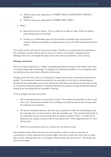- a) What has been your experience of <INSERT SOCIAL INNOVATION / SERVICE / PROJECT>
- b) What has been your experience of <INSERT ISSUE TOPIC>
- 2. Either:
	- a) Record the person's answer. This can either be as audio or video. When the person stops talking, stop the recording.
	- b) Sit down in a comfortable space, ask the question and simply listen to the person's response without interrupting or asking questions. Focus on really hearing what they are saying.

This activity works well when it's done peer-to-peer. Therefore, you should split the participants in the workshop into pairs and ask them to record or listen to one another's snapshot stories. Although there isn't a set length for these stories, then tend to be between 1 and 5 minutes.

#### **Dialogue interviews**

This more nuanced approach to 'insight' storytelling developed by People's Voice Media within their Community Reporting methodology. It is designed to enable the storyteller to set the agenda of the storytelling and has some links to Empathy Interviewing.

Dialogue interviews don't have a list of questions. Instead, they are like conversations between two people. The conversation should be directed by the storyteller so that they are determining the direction of the conversation and are only sharing the information and experiences that they choose to. The person asking the questions is helping to facilitate the question through actively listening and picking up on key things that the storyteller is sharing.

To do a dialogue interview, you should:

- 1. Ask an opening question (a conversation starter). This enables the storyteller to start to tell their story. This question shouldn't be too leading and should be quite broad and open (like the snapshot story question).
- 2. The person asking the questions may then ask any questions within this storytelling process that naturally occur to them based on what the storyteller says. They should actively listen to the storyteller and pick out key things they are saying to explore further. A simple way of doing this is by asking 'Could you tell me more about that?', 'What happened next?' or 'How did that feel?'.
- 3. When the conversation comes to a natural end, the interview ends.

Like snapshot stories, these interviews can be recorded as audio or video, or just done as conversations in which experiences are shared. Again, they tend to work best when they are done peer-to-peer. Although there isn't a set length of these stories, they tend to be 5 - 20 minutes, but some can be longer.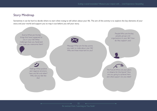### Story Mindmap

Sometimes it can be hard to decide where to start when trying to tell others about your life. The aim of this activity is to explore the key elements of your story and your world and support you to map it out before you tell your story.

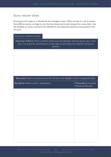### Story review sheet

Reviewing stories helps us to identify the key messages in them. When we look at a set of reviews from different stories, we begin to see what key themes and trends emerge from across them. Use this template to review, summarise and identify the most important elements and quotations from the story.

| Story (insert title/link to story):                                                                                                                                                                          |                                                      |
|--------------------------------------------------------------------------------------------------------------------------------------------------------------------------------------------------------------|------------------------------------------------------|
| Overview of Story: Write a synthesis of the story that describes what the person says in their<br>story. Try to give the overall picture of what they are describing, how they feel and any key<br>opinions. |                                                      |
|                                                                                                                                                                                                              |                                                      |
|                                                                                                                                                                                                              |                                                      |
|                                                                                                                                                                                                              |                                                      |
| Extract(s): Select an extract/extracts from the story that highlights its key message(s)/point(s).                                                                                                           |                                                      |
| Key Quote What is said (2 - 4 sentences)                                                                                                                                                                     | Timecode (if recorded)<br><b>Minutes and Seconds</b> |
|                                                                                                                                                                                                              |                                                      |
|                                                                                                                                                                                                              |                                                      |
|                                                                                                                                                                                                              |                                                      |
|                                                                                                                                                                                                              |                                                      |
|                                                                                                                                                                                                              |                                                      |
|                                                                                                                                                                                                              |                                                      |
|                                                                                                                                                                                                              |                                                      |
|                                                                                                                                                                                                              |                                                      |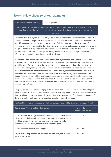### Story review sheet (worked example)

#### Story (insert title/link to story): Life in Popowice

**Overview of Story:** Write a synthesis of the story that describes what the person says in their story. Try to give the overall picture of what they are describing, how they feel and any key opinions.

The storyteller shows great pride in being known as a resident of this particular area. When asked if she is a resident of Popowice, she replies 'Of course!' She describes how she has lived here for over 40 years and that she likes the area because of all the green spaces, however one of her concerns is over the flowers. She describes how she likes the area because there are a lot of parks and green spaces but expresses her disappointment with the residents who do not seem to care. She also talks about how she sees places nearby where there are big buildings and notices a difference there which shows that the residents do care.

She has ideas about creating a small public garden but says that she doesn't know how to get permission for it. She is someone with a disability who uses a stick occasionally and thinks that it would be useful for others as well to have more benches and spaces where they are able to sit down to enjoy the green spaces. She comments on the fact that the old trees are well cared for and is happy about the fact that they are left to grow and says that we should look after our old trees because there is not room for new. Look after what we already have. She lives on the ground floor and knows all her neighbours on this level and up to level four. She doesn't know those above level four because that is as far as she is able to climb the stairs. She says very often, there are old women or those with disabilities on these floors rather than men because their life expectancy is different.

The people who live in her building up to fourth floor (the people she knows) need to integrate themselves more, i.e., she knows them all, but feels that they don't know each other very well and they are all in a similar situation (older generation, single women etc.) She always helps people if she is able to, but feels that very often, older people do not ask for help.

| <b>Key Quote</b> What is said (2 - 4 sentences)                                                                                                                                                                                                                          | <b>Timecode</b> (if recorded)<br><b>Minutes and Seconds</b> |
|--------------------------------------------------------------------------------------------------------------------------------------------------------------------------------------------------------------------------------------------------------------------------|-------------------------------------------------------------|
| I'd like to make a small garden for everyone but I don't know who to<br>ask to make it. I also think benches and places to sit down would be<br>good in the area. I know one person who uses a stick to walk<br>sometimes, and for them, more benches would be good too. | $2:11 - 2:45$                                               |
| Society needs to learn to speak together.                                                                                                                                                                                                                                | $3.45 - 3.51$                                               |
| I try to always help if there is a problem, but not everyone is open<br>and will ask for help                                                                                                                                                                            | $3.23 - 3.34$                                               |

#### **Extract(s):** Select an extract/extracts from the story that highlights its key message(s)/point(s).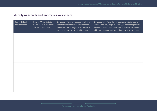### Identifying trends and anomalies worksheet

| <b>Story: Title of</b><br>story/file name. | Topic: WHAT is being<br>talked about in the story?<br>List the subject areas. | <b>Content: HOW</b> are the subjects being<br>talked about? Summarise key emotions<br>connected to the subject areas and also<br>any connections between subject matters. | Context: WHY are the subject matters being spoken<br>about in this way? Explain anything in the story (or what<br>you know about the context of the story/storyteller) that<br>adds more understanding to what they have experienced. |
|--------------------------------------------|-------------------------------------------------------------------------------|---------------------------------------------------------------------------------------------------------------------------------------------------------------------------|---------------------------------------------------------------------------------------------------------------------------------------------------------------------------------------------------------------------------------------|
|                                            |                                                                               |                                                                                                                                                                           |                                                                                                                                                                                                                                       |
|                                            |                                                                               |                                                                                                                                                                           |                                                                                                                                                                                                                                       |
|                                            |                                                                               |                                                                                                                                                                           |                                                                                                                                                                                                                                       |
|                                            |                                                                               |                                                                                                                                                                           |                                                                                                                                                                                                                                       |
|                                            |                                                                               |                                                                                                                                                                           |                                                                                                                                                                                                                                       |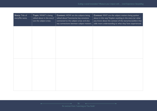٠

| <b>Story: Title of</b><br>story/file name. | Topic: WHAT is being<br>talked about in the story?<br>List the subject areas. | <b>Content: HOW</b> are the subjects being<br>talked about? Summarise key emotions<br>connected to the subject areas and also<br>any connections between subject matters. | Context: WHY are the subject matters being spoken<br>about in this way? Explain anything in the story (or what<br>you know about the context of the story/storyteller) that<br>adds more understanding to what they have experienced. |
|--------------------------------------------|-------------------------------------------------------------------------------|---------------------------------------------------------------------------------------------------------------------------------------------------------------------------|---------------------------------------------------------------------------------------------------------------------------------------------------------------------------------------------------------------------------------------|
|                                            |                                                                               |                                                                                                                                                                           |                                                                                                                                                                                                                                       |
|                                            |                                                                               |                                                                                                                                                                           |                                                                                                                                                                                                                                       |
|                                            |                                                                               |                                                                                                                                                                           |                                                                                                                                                                                                                                       |
|                                            |                                                                               |                                                                                                                                                                           |                                                                                                                                                                                                                                       |
|                                            |                                                                               |                                                                                                                                                                           |                                                                                                                                                                                                                                       |